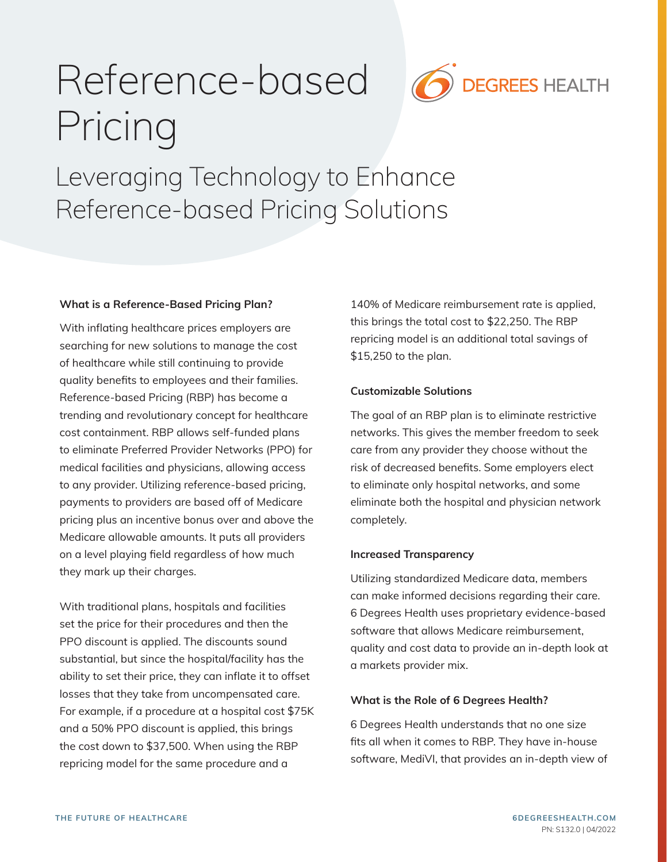# Reference-based Pricing



Leveraging Technology to Enhance Reference-based Pricing Solutions

### What is a Reference-Based Pricing Plan?

With inflating healthcare prices employers are searching for new solutions to manage the cost of healthcare while still continuing to provide quality benefits to employees and their families. Reference-based Pricing (RBP) has become a trending and revolutionary concept for healthcare cost containment. RBP allows self-funded plans to eliminate Preferred Provider Networks (PPO) for medical facilities and physicians, allowing access to any provider. Utilizing reference-based pricing, payments to providers are based off of Medicare pricing plus an incentive bonus over and above the Medicare allowable amounts. It puts all providers on a level playing field regardless of how much they mark up their charges.

With traditional plans, hospitals and facilities set the price for their procedures and then the PPO discount is applied. The discounts sound substantial, but since the hospital/facility has the ability to set their price, they can inflate it to offset losses that they take from uncompensated care. For example, if a procedure at a hospital cost \$75K and a 50% PPO discount is applied, this brings the cost down to \$37,500. When using the RBP repricing model for the same procedure and a

140% of Medicare reimbursement rate is applied, this brings the total cost to \$22,250. The RBP repricing model is an additional total savings of \$15,250 to the plan.

## Customizable Solutions

The goal of an RBP plan is to eliminate restrictive networks. This gives the member freedom to seek care from any provider they choose without the risk of decreased benefits. Some employers elect to eliminate only hospital networks, and some eliminate both the hospital and physician network completely.

### Increased Transparency

Utilizing standardized Medicare data, members can make informed decisions regarding their care. 6 Degrees Health uses proprietary evidence-based software that allows Medicare reimbursement, quality and cost data to provide an in-depth look at a markets provider mix.

### What is the Role of 6 Degrees Health?

6 Degrees Health understands that no one size fits all when it comes to RBP. They have in-house software, MediVI, that provides an in-depth view of